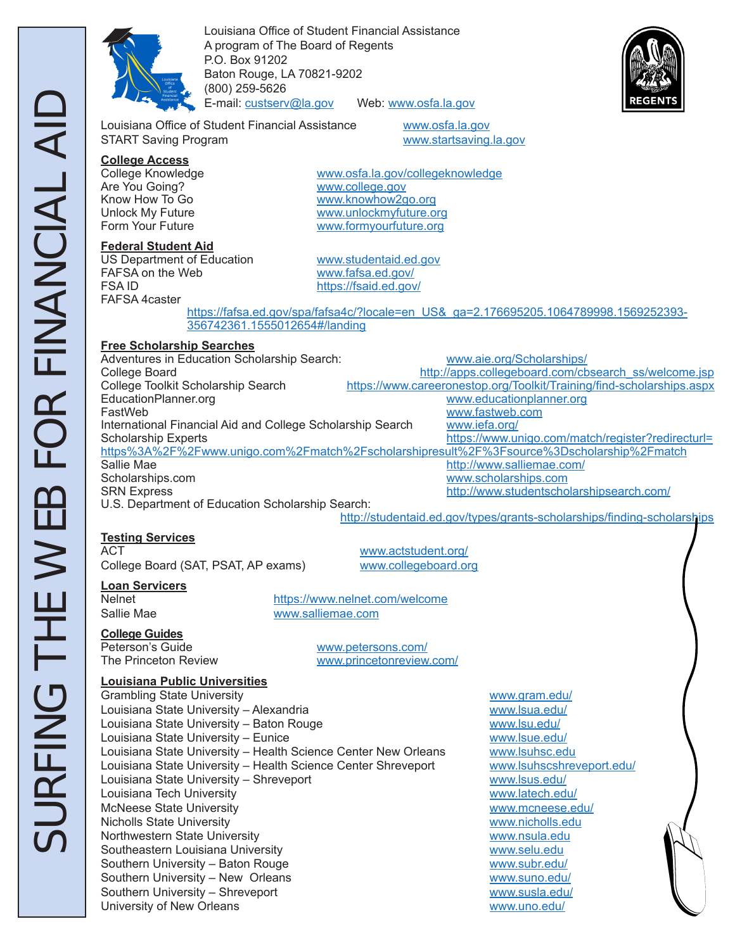

Louisiana Office of Student Financial Assistance A program of The Board of Regents P.O. Box 91202 Baton Rouge, LA 70821-9202 (800) 259-5626 E-mail: custserv@la.gov Web: www.osfa.la.gov



Louisiana Office of Student Financial Assistance www.osfa.la.gov START Saving Program www.startsaving.la.gov

**College Access** Are You Going? WWW.college.gov<br>
Know How To Go Www.knowhow2q

### **Federal Student Aid**

US Department of Education<br>
FAFSA on the Web Web www.fafsa.ed.gov/ FAFSA on the Web<br>FSA ID FAFSA 4caster

www.osfa.la.gov/collegeknowledge Know How To Go www.knowhow2go.org<br>Unlock My Future www.unlockmyfuture.o Unlock My Future Wave Ware www.unlockmyfuture.org<br>
Form Your Future Wave Wave Wave Wave Wave Wave www.formyourfuture.org

https://fsaid.ed.gov/

 https://fafsa.ed.gov/spa/fafsa4c/?locale=en\_US&\_ga=2.176695205.1064789998.1569252393- 356742361.1555012654#/landing

### **Free Scholarship Searches**

Adventures in Education Scholarship Search: www.aie.org/Scholarships/ College Board<br>College Toolkit Scholarship Search https://www.careeronestop.org/Toolkit/Training/find-scholarships.aspx https://www.careeronestop.org/Toolkit/Training/find-scholarships.aspx EducationPlanner.org www.educationplanner.org www.fastweb.com<br>www.iefa.org/ International Financial Aid and College Scholarship Search Scholarship Experts **https://www.unigo.com/match/register?redirecturl=** https%3A%2F%2Fwww.unigo.com%2Fmatch%2Fscholarshipresult%2F%3Fsource%3Dscholarship%2Fmatch Sallie Mae **http://www.salliemae.com/** Scholarships.com www.scholarships.com SRN Express http://www.studentscholarshipsearch.com/ U.S. Department of Education Scholarship Search:

## http://studentaid.ed.gov/types/grants-scholarships/finding-scholarships

## **Testing Services**

College Board (SAT, PSAT, AP exams) www.collegeboard.org

www.actstudent.org/

# **Loan Servicers**

https://www.nelnet.com/welcome Sallie Mae www.salliemae.com

**College Guides**

Peterson's Guide<br>
The Princeton Review<br>
The Princeton Review<br>
Www.princetonreview www.princetonreview.com/

### **Louisiana Public Universities**

Grambling State University **www.gram.edu/** www.gram.edu/ Louisiana State University – Alexandria www.lsua.edu/ Louisiana State University – Baton Rouge van die verwy.lsu.edu/ Louisiana State University – Eunice Wales and Wave www.lsue.edu/ Louisiana State University - Health Science Center New Orleans www.lsuhsc.edu Louisiana State University – Health Science Center Shreveport www.lsuhscshreveport.edu/ Louisiana State University – Shreveport www.lsus.edu/ Louisiana Tech University www.latech.edu/ McNeese State University www.mcneese.edu/ Nicholls State University www.nicholls.edu Northwestern State University **www.nsula.edu** www.nsula.edu Southeastern Louisiana University Www.selu.edu Southern University – Baton Rouge www.subr.edu/ Southern University – New Orleans<br>
Southern University – Shreveport<br>
Www.susla.edu/ Southern University – Shreveport University of New Orleans www.uno.edu/